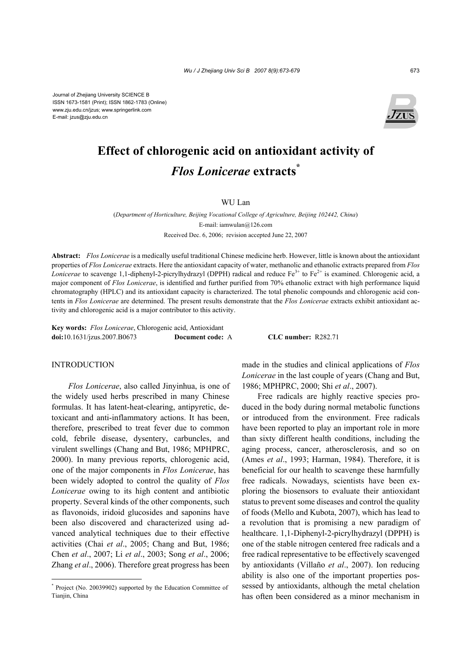Journal of Zhejiang University SCIENCE B ISSN 1673-1581 (Print); ISSN 1862-1783 (Online) www.zju.edu.cn/jzus; www.springerlink.com E-mail: jzus@zju.edu.cn



# **Effect of chlorogenic acid on antioxidant activity of**  *Flos Lonicerae* **extracts\***

## WU Lan

(*Department of Horticulture, Beijing Vocational College of Agriculture, Beijing 102442, China*) E-mail: iamwulan@126.com Received Dec. 6, 2006; revision accepted June 22, 2007

**Abstract:** *Flos Lonicerae* is a medically useful traditional Chinese medicine herb. However, little is known about the antioxidant properties of *Flos Lonicerae* extracts. Here the antioxidant capacity of water, methanolic and ethanolic extracts prepared from *Flos Lonicerae* to scavenge 1,1-diphenyl-2-picrylhydrazyl (DPPH) radical and reduce Fe<sup>3+</sup> to Fe<sup>2+</sup> is examined. Chlorogenic acid, a major component of *Flos Lonicerae*, is identified and further purified from 70% ethanolic extract with high performance liquid chromatography (HPLC) and its antioxidant capacity is characterized. The total phenolic compounds and chlorogenic acid contents in *Flos Lonicerae* are determined. The present results demonstrate that the *Flos Lonicerae* extracts exhibit antioxidant activity and chlorogenic acid is a major contributor to this activity.

**Key words:** *Flos Lonicerae*, Chlorogenic acid, Antioxidant **doi:**10.1631/jzus.2007.B0673 **Document code:** A **CLC number:** R282.71

### INTRODUCTION

*Flos Lonicerae*, also called Jinyinhua, is one of the widely used herbs prescribed in many Chinese formulas. It has latent-heat-clearing, antipyretic, detoxicant and anti-inflammatory actions. It has been, therefore, prescribed to treat fever due to common cold, febrile disease, dysentery, carbuncles, and virulent swellings (Chang and But, 1986; MPHPRC, 2000). In many previous reports, chlorogenic acid, one of the major components in *Flos Lonicerae*, has been widely adopted to control the quality of *Flos Lonicerae* owing to its high content and antibiotic property. Several kinds of the other components, such as flavonoids, iridoid glucosides and saponins have been also discovered and characterized using advanced analytical techniques due to their effective activities (Chai *et al*., 2005; Chang and But, 1986; Chen *et al*., 2007; Li *et al*., 2003; Song *et al*., 2006; Zhang *et al*., 2006). Therefore great progress has been

made in the studies and clinical applications of *Flos Lonicerae* in the last couple of years (Chang and But, 1986; MPHPRC, 2000; Shi *et al*., 2007).

Free radicals are highly reactive species produced in the body during normal metabolic functions or introduced from the environment. Free radicals have been reported to play an important role in more than sixty different health conditions, including the aging process, cancer, atherosclerosis, and so on (Ames *et al*., 1993; Harman, 1984). Therefore, it is beneficial for our health to scavenge these harmfully free radicals. Nowadays, scientists have been exploring the biosensors to evaluate their antioxidant status to prevent some diseases and control the quality of foods (Mello and Kubota, 2007), which has lead to a revolution that is promising a new paradigm of healthcare. 1,1-Diphenyl-2-picrylhydrazyl (DPPH) is one of the stable nitrogen centered free radicals and a free radical representative to be effectively scavenged by antioxidants (Villaño *et al*., 2007). Ion reducing ability is also one of the important properties possessed by antioxidants, although the metal chelation has often been considered as a minor mechanism in

<sup>\*</sup> Project (No. 20039902) supported by the Education Committee of Tianjin, China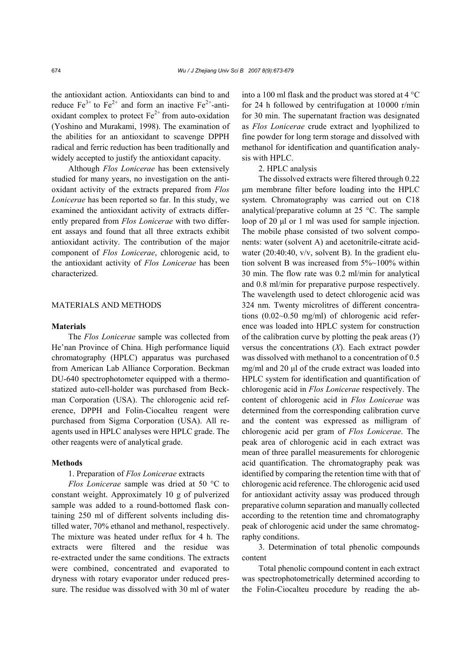the antioxidant action. Antioxidants can bind to and reduce  $Fe^{3+}$  to  $Fe^{2+}$  and form an inactive  $Fe^{2+}$ -antioxidant complex to protect  $Fe<sup>2+</sup>$  from auto-oxidation (Yoshino and Murakami, 1998). The examination of the abilities for an antioxidant to scavenge DPPH radical and ferric reduction has been traditionally and widely accepted to justify the antioxidant capacity.

Although *Flos Lonicerae* has been extensively studied for many years, no investigation on the antioxidant activity of the extracts prepared from *Flos Lonicerae* has been reported so far. In this study, we examined the antioxidant activity of extracts differently prepared from *Flos Lonicerae* with two different assays and found that all three extracts exhibit antioxidant activity. The contribution of the major component of *Flos Lonicerae*, chlorogenic acid, to the antioxidant activity of *Flos Lonicerae* has been characterized.

#### MATERIALS AND METHODS

#### **Materials**

The *Flos Lonicerae* sample was collected from He'nan Province of China. High performance liquid chromatography (HPLC) apparatus was purchased from American Lab Alliance Corporation. Beckman DU-640 spectrophotometer equipped with a thermostatized auto-cell-holder was purchased from Beckman Corporation (USA). The chlorogenic acid reference, DPPH and Folin-Ciocalteu reagent were purchased from Sigma Corporation (USA). All reagents used in HPLC analyses were HPLC grade. The other reagents were of analytical grade.

## **Methods**

## 1. Preparation of *Flos Lonicerae* extracts

*Flos Lonicerae* sample was dried at 50 °C to constant weight. Approximately 10 g of pulverized sample was added to a round-bottomed flask containing 250 ml of different solvents including distilled water, 70% ethanol and methanol, respectively. The mixture was heated under reflux for 4 h. The extracts were filtered and the residue was re-extracted under the same conditions. The extracts were combined, concentrated and evaporated to dryness with rotary evaporator under reduced pressure. The residue was dissolved with 30 ml of water into a 100 ml flask and the product was stored at 4 °C for 24 h followed by centrifugation at 10000 r/min for 30 min. The supernatant fraction was designated as *Flos Lonicerae* crude extract and lyophilized to fine powder for long term storage and dissolved with methanol for identification and quantification analysis with HPLC.

#### 2. HPLC analysis

The dissolved extracts were filtered through 0.22 µm membrane filter before loading into the HPLC system. Chromatography was carried out on C18 analytical/preparative column at 25 °C. The sample loop of 20 µl or 1 ml was used for sample injection. The mobile phase consisted of two solvent components: water (solvent A) and acetonitrile-citrate acidwater  $(20:40:40, v/v,$  solvent B). In the gradient elution solvent B was increased from 5%~100% within 30 min. The flow rate was 0.2 ml/min for analytical and 0.8 ml/min for preparative purpose respectively. The wavelength used to detect chlorogenic acid was 324 nm. Twenty microlitres of different concentrations (0.02~0.50 mg/ml) of chlorogenic acid reference was loaded into HPLC system for construction of the calibration curve by plotting the peak areas (*Y*) versus the concentrations (*X*). Each extract powder was dissolved with methanol to a concentration of 0.5 mg/ml and 20 µl of the crude extract was loaded into HPLC system for identification and quantification of chlorogenic acid in *Flos Lonicerae* respectively. The content of chlorogenic acid in *Flos Lonicerae* was determined from the corresponding calibration curve and the content was expressed as milligram of chlorogenic acid per gram of *Flos Lonicerae*. The peak area of chlorogenic acid in each extract was mean of three parallel measurements for chlorogenic acid quantification. The chromatography peak was identified by comparing the retention time with that of chlorogenic acid reference. The chlorogenic acid used for antioxidant activity assay was produced through preparative column separation and manually collected according to the retention time and chromatography peak of chlorogenic acid under the same chromatography conditions.

3. Determination of total phenolic compounds content

Total phenolic compound content in each extract was spectrophotometrically determined according to the Folin-Ciocalteu procedure by reading the ab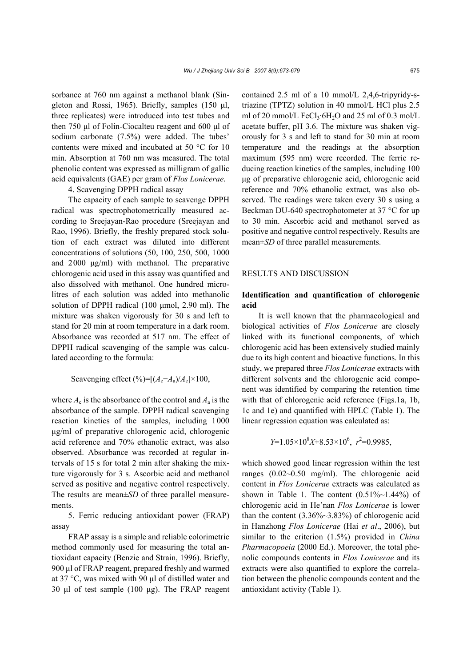sorbance at 760 nm against a methanol blank (Singleton and Rossi, 1965). Briefly, samples (150  $\mu$ l, three replicates) were introduced into test tubes and then 750 µl of Folin-Ciocalteu reagent and 600 µl of sodium carbonate (7.5%) were added. The tubes' contents were mixed and incubated at 50 °C for 10 min. Absorption at 760 nm was measured. The total phenolic content was expressed as milligram of gallic acid equivalents (GAE) per gram of *Flos Lonicerae*.

4. Scavenging DPPH radical assay

The capacity of each sample to scavenge DPPH radical was spectrophotometrically measured according to Sreejayan-Rao procedure (Sreejayan and Rao, 1996). Briefly, the freshly prepared stock solution of each extract was diluted into different concentrations of solutions (50, 100, 250, 500, 1000 and 2000 µg/ml) with methanol. The preparative chlorogenic acid used in this assay was quantified and also dissolved with methanol. One hundred microlitres of each solution was added into methanolic solution of DPPH radical (100 µmol, 2.90 ml). The mixture was shaken vigorously for 30 s and left to stand for 20 min at room temperature in a dark room. Absorbance was recorded at 517 nm. The effect of DPPH radical scavenging of the sample was calculated according to the formula:

Scavenging effect  $(\%)=[(A_c-A_a)/A_c]\times 100$ ,

where  $A_c$  is the absorbance of the control and  $A_a$  is the absorbance of the sample. DPPH radical scavenging reaction kinetics of the samples, including 1000 µg/ml of preparative chlorogenic acid, chlorogenic acid reference and 70% ethanolic extract, was also observed. Absorbance was recorded at regular intervals of 15 s for total 2 min after shaking the mixture vigorously for 3 s. Ascorbic acid and methanol served as positive and negative control respectively. The results are mean±*SD* of three parallel measurements.

5. Ferric reducing antioxidant power (FRAP) assay

FRAP assay is a simple and reliable colorimetric method commonly used for measuring the total antioxidant capacity (Benzie and Strain, 1996). Briefly, 900 µl of FRAP reagent, prepared freshly and warmed at 37 °C, was mixed with 90 µl of distilled water and 30 µl of test sample (100 µg). The FRAP reagent contained 2.5 ml of a 10 mmol/L 2,4,6-tripyridy-striazine (TPTZ) solution in 40 mmol/L HCl plus 2.5 ml of 20 mmol/L FeCl<sub>3</sub>·6H<sub>2</sub>O and 25 ml of 0.3 mol/L acetate buffer, pH 3.6. The mixture was shaken vigorously for 3 s and left to stand for 30 min at room temperature and the readings at the absorption maximum (595 nm) were recorded. The ferric reducing reaction kinetics of the samples, including 100 µg of preparative chlorogenic acid, chlorogenic acid reference and 70% ethanolic extract, was also observed. The readings were taken every 30 s using a Beckman DU-640 spectrophotometer at 37 °C for up to 30 min. Ascorbic acid and methanol served as positive and negative control respectively. Results are mean±*SD* of three parallel measurements.

#### RESULTS AND DISCUSSION

## **Identification and quantification of chlorogenic acid**

It is well known that the pharmacological and biological activities of *Flos Lonicerae* are closely linked with its functional components, of which chlorogenic acid has been extensively studied mainly due to its high content and bioactive functions. In this study, we prepared three *Flos Lonicerae* extracts with different solvents and the chlorogenic acid component was identified by comparing the retention time with that of chlorogenic acid reference (Figs.1a, 1b, 1c and 1e) and quantified with HPLC (Table 1). The linear regression equation was calculated as:

$$
Y=1.05\times10^{8}X+8.53\times10^{6}, r^{2}=0.9985,
$$

which showed good linear regression within the test ranges (0.02~0.50 mg/ml). The chlorogenic acid content in *Flos Lonicerae* extracts was calculated as shown in Table 1. The content  $(0.51\% \sim 1.44\%)$  of chlorogenic acid in He'nan *Flos Lonicerae* is lower than the content (3.36%~3.83%) of chlorogenic acid in Hanzhong *Flos Lonicerae* (Hai *et al*., 2006), but similar to the criterion (1.5%) provided in *China Pharmacopoeia* (2000 Ed.). Moreover, the total phenolic compounds contents in *Flos Lonicerae* and its extracts were also quantified to explore the correlation between the phenolic compounds content and the antioxidant activity (Table 1).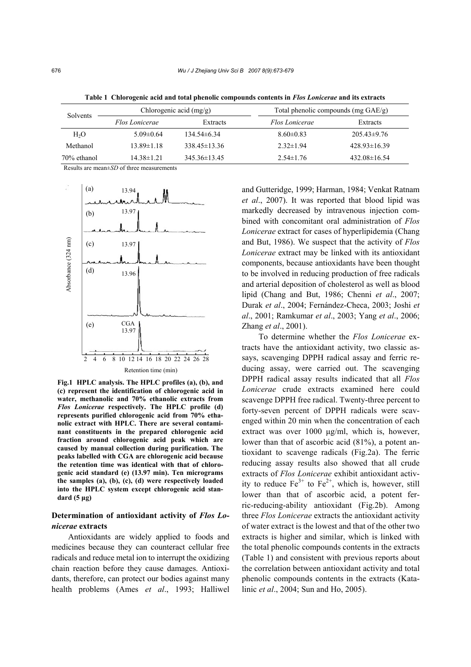| Solvents         | Chlorogenic acid $(mg/g)$ |                  | Total phenolic compounds (mg GAE/g) |                  |
|------------------|---------------------------|------------------|-------------------------------------|------------------|
|                  | Flos Lonicerae            | Extracts         | Flos Lonicerae                      | Extracts         |
| H <sub>2</sub> O | $5.09\pm0.64$             | $134.54\pm 6.34$ | $8.60 \pm 0.83$                     | $205.43\pm9.76$  |
| Methanol         | $13.89 \pm 1.18$          | $338.45\pm13.36$ | $2.32 \pm 1.94$                     | $428.93\pm16.39$ |
| 70% ethanol      | $14.38 \pm 1.21$          | $345.36\pm13.45$ | $2.54 \pm 1.76$                     | $432.08\pm16.54$ |

**Table 1 Chlorogenic acid and total phenolic compounds contents in** *Flos Lonicerae* **and its extracts** 

Results are mean±*SD* of three measurements



**Fig.1 HPLC analysis. The HPLC profiles (a), (b), and (c) represent the identification of chlorogenic acid in water, methanolic and 70% ethanolic extracts from**  *Flos Lonicerae* **respectively. The HPLC profile (d) represents purified chlorogenic acid from 70% ethanolic extract with HPLC. There are several contaminant constituents in the prepared chlorogenic acid fraction around chlorogenic acid peak which are caused by manual collection during purification. The peaks labelled with CGA are chlorogenic acid because the retention time was identical with that of chlorogenic acid standard (e) (13.97 min). Ten micrograms the samples (a), (b), (c), (d) were respectively loaded into the HPLC system except chlorogenic acid standard (5 µg)** 

## Determination of antioxidant activity of *Flos Lonicerae* **extracts**

Antioxidants are widely applied to foods and medicines because they can counteract cellular free radicals and reduce metal ion to interrupt the oxidizing chain reaction before they cause damages. Antioxidants, therefore, can protect our bodies against many health problems (Ames *et al*., 1993; Halliwel and Gutteridge, 1999; Harman, 1984; Venkat Ratnam *et al*., 2007). It was reported that blood lipid was markedly decreased by intravenous injection combined with concomitant oral administration of *Flos Lonicerae* extract for cases of hyperlipidemia (Chang and But, 1986). We suspect that the activity of *Flos Lonicerae* extract may be linked with its antioxidant components, because antioxidants have been thought to be involved in reducing production of free radicals and arterial deposition of cholesterol as well as blood lipid (Chang and But, 1986; Chenni *et al*., 2007; Durak *et al*., 2004; Fernández-Checa, 2003; Joshi *et al*., 2001; Ramkumar *et al*., 2003; Yang *et al*., 2006; Zhang *et al*., 2001).

To determine whether the *Flos Lonicerae* extracts have the antioxidant activity, two classic assays, scavenging DPPH radical assay and ferric reducing assay, were carried out. The scavenging DPPH radical assay results indicated that all *Flos Lonicerae* crude extracts examined here could scavenge DPPH free radical. Twenty-three percent to forty-seven percent of DPPH radicals were scavenged within 20 min when the concentration of each extract was over 1000 µg/ml, which is, however, lower than that of ascorbic acid (81%), a potent antioxidant to scavenge radicals (Fig.2a). The ferric reducing assay results also showed that all crude extracts of *Flos Lonicerae* exhibit antioxidant activity to reduce  $Fe^{3+}$  to  $Fe^{2+}$ , which is, however, still lower than that of ascorbic acid, a potent ferric-reducing-ability antioxidant (Fig.2b). Among three *Flos Lonicerae* extracts the antioxidant activity of water extract is the lowest and that of the other two extracts is higher and similar, which is linked with the total phenolic compounds contents in the extracts (Table 1) and consistent with previous reports about the correlation between antioxidant activity and total phenolic compounds contents in the extracts (Katalinic *et al*., 2004; Sun and Ho, 2005).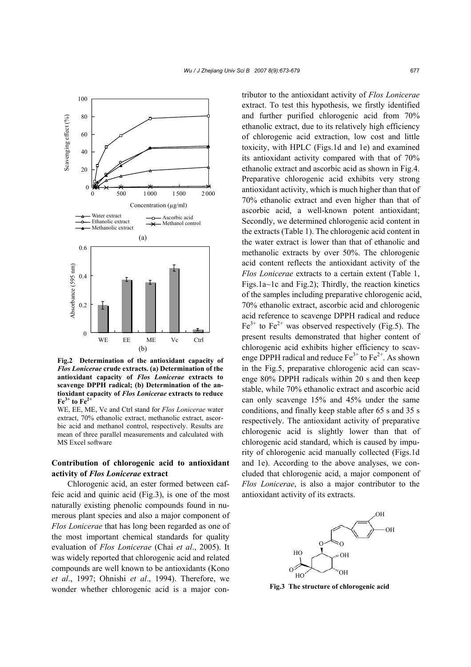

**Fig.2 Determination of the antioxidant capacity of**  *Flos Lonicerae* **crude extracts. (a) Determination of the antioxidant capacity of** *Flos Lonicerae* **extracts to scavenge DPPH radical; (b) Determination of the antioxidant capacity of** *Flos Lonicerae* **extracts to reduce**   $Fe<sup>3+</sup>$  to  $Fe<sup>2+</sup>$ 

WE, EE, ME, Vc and Ctrl stand for *Flos Lonicerae* water extract, 70% ethanolic extract, methanolic extract, ascorbic acid and methanol control, respectively. Results are mean of three parallel measurements and calculated with MS Excel software

## **Contribution of chlorogenic acid to antioxidant activity of** *Flos Lonicerae* **extract**

Chlorogenic acid, an ester formed between caffeic acid and quinic acid (Fig.3), is one of the most naturally existing phenolic compounds found in numerous plant species and also a major component of *Flos Lonicerae* that has long been regarded as one of the most important chemical standards for quality evaluation of *Flos Lonicerae* (Chai *et al*., 2005). It was widely reported that chlorogenic acid and related compounds are well known to be antioxidants (Kono *et al*., 1997; Ohnishi *et al*., 1994). Therefore, we wonder whether chlorogenic acid is a major contributor to the antioxidant activity of *Flos Lonicerae*  extract. To test this hypothesis, we firstly identified and further purified chlorogenic acid from 70% ethanolic extract, due to its relatively high efficiency of chlorogenic acid extraction, low cost and little toxicity, with HPLC (Figs.1d and 1e) and examined its antioxidant activity compared with that of 70% ethanolic extract and ascorbic acid as shown in Fig.4. Preparative chlorogenic acid exhibits very strong antioxidant activity, which is much higher than that of 70% ethanolic extract and even higher than that of ascorbic acid, a well-known potent antioxidant; Secondly, we determined chlorogenic acid content in the extracts (Table 1). The chlorogenic acid content in the water extract is lower than that of ethanolic and methanolic extracts by over 50%. The chlorogenic acid content reflects the antioxidant activity of the *Flos Lonicerae* extracts to a certain extent (Table 1, Figs.1a~1c and Fig.2); Thirdly, the reaction kinetics of the samples including preparative chlorogenic acid, 70% ethanolic extract, ascorbic acid and chlorogenic acid reference to scavenge DPPH radical and reduce  $Fe<sup>3+</sup>$  to  $Fe<sup>2+</sup>$  was observed respectively (Fig.5). The present results demonstrated that higher content of chlorogenic acid exhibits higher efficiency to scavenge DPPH radical and reduce  $Fe^{3+}$  to  $Fe^{2+}$ . As shown in the Fig.5, preparative chlorogenic acid can scavenge 80% DPPH radicals within 20 s and then keep stable, while 70% ethanolic extract and ascorbic acid can only scavenge 15% and 45% under the same conditions, and finally keep stable after 65 s and 35 s respectively. The antioxidant activity of preparative chlorogenic acid is slightly lower than that of chlorogenic acid standard, which is caused by impurity of chlorogenic acid manually collected (Figs.1d and 1e). According to the above analyses, we concluded that chlorogenic acid, a major component of *Flos Lonicerae*, is also a major contributor to the antioxidant activity of its extracts.



**Fig.3 The structure of chlorogenic acid**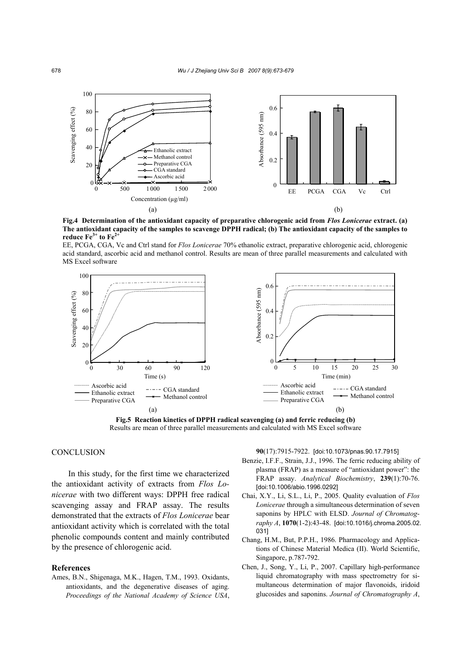

**Fig.4 Determination of the antioxidant capacity of preparative chlorogenic acid from** *Flos Lonicerae* **extract. (a) The antioxidant capacity of the samples to scavenge DPPH radical; (b) The antioxidant capacity of the samples to reduce Fe**<sup>3+</sup> **to Fe**<sup>2</sup>

EE, PCGA, CGA, Vc and Ctrl stand for *Flos Lonicerae* 70% ethanolic extract, preparative chlorogenic acid, chlorogenic acid standard, ascorbic acid and methanol control. Results are mean of three parallel measurements and calculated with MS Excel software



**Fig.5 Reaction kinetics of DPPH radical scavenging (a) and ferric reducing (b)**  Results are mean of three parallel measurements and calculated with MS Excel software

## **CONCLUSION**

In this study, for the first time we characterized the antioxidant activity of extracts from *Flos Lonicerae* with two different ways: DPPH free radical scavenging assay and FRAP assay. The results demonstrated that the extracts of *Flos Lonicerae* bear antioxidant activity which is correlated with the total phenolic compounds content and mainly contributed by the presence of chlorogenic acid.

#### **References**

Ames, B.N., Shigenaga, M.K., Hagen, T.M., 1993. Oxidants, antioxidants, and the degenerative diseases of aging. *Proceedings of the National Academy of Science USA*, **90**(17):7915-7922. [doi:10.1073/pnas.90.17.7915]

- Benzie, I.F.F., Strain, J.J., 1996. The ferric reducing ability of plasma (FRAP) as a measure of "antioxidant power": the FRAP assay. *Analytical Biochemistry*, **239**(1):70-76. [doi:10.1006/abio.1996.0292]
- Chai, X.Y., Li, S.L., Li, P., 2005. Quality evaluation of *Flos Lonicerae* through a simultaneous determination of seven saponins by HPLC with ELSD. *Journal of Chromatography A*, **1070**(1-2):43-48. [doi:10.1016/j.chroma.2005.02. 031]
- Chang, H.M., But, P.P.H., 1986. Pharmacology and Applications of Chinese Material Medica (II). World Scientific, Singapore, p.787-792.
- Chen, J., Song, Y., Li, P., 2007. Capillary high-performance liquid chromatography with mass spectrometry for simultaneous determination of major flavonoids, iridoid glucosides and saponins. *Journal of Chromatography A*,